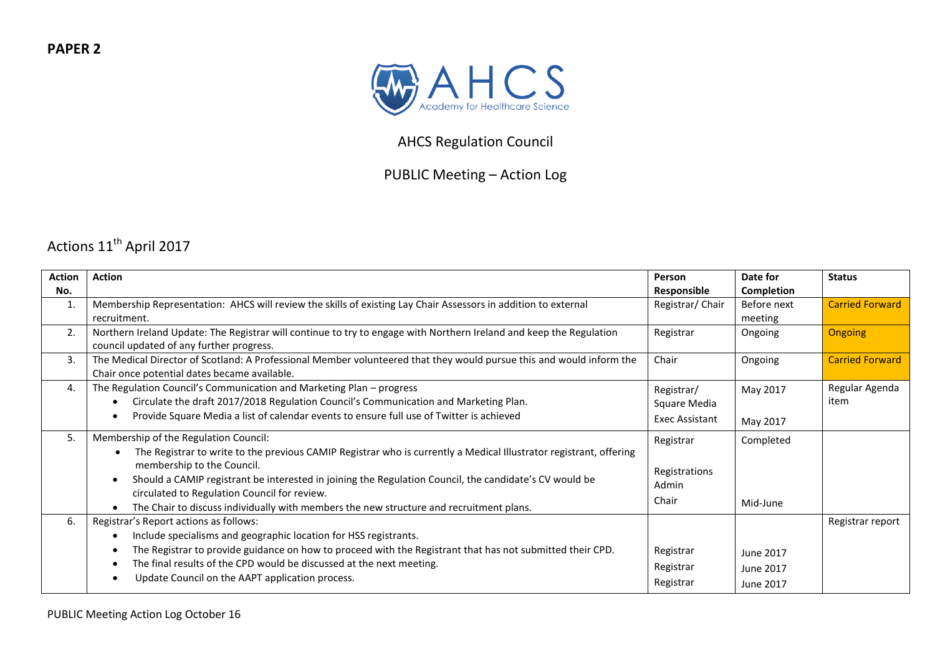

## AHCS Regulation Council

## PUBLIC Meeting – Action Log

## Actions 11<sup>th</sup> April 2017

| Action       | <b>Action</b>                                                                                                        | Person          | Date for    | <b>Status</b>          |
|--------------|----------------------------------------------------------------------------------------------------------------------|-----------------|-------------|------------------------|
| No.          |                                                                                                                      | Responsible     | Completion  |                        |
| $\mathbf{1}$ | Membership Representation: AHCS will review the skills of existing Lay Chair Assessors in addition to external       | Registrar/Chair | Before next | <b>Carried Forward</b> |
|              | recruitment.                                                                                                         |                 | meeting     |                        |
| 2.           | Northern Ireland Update: The Registrar will continue to try to engage with Northern Ireland and keep the Regulation  | Registrar       | Ongoing     | <b>Ongoing</b>         |
|              | council updated of any further progress.                                                                             |                 |             |                        |
| 3.           | The Medical Director of Scotland: A Professional Member volunteered that they would pursue this and would inform the | Chair           | Ongoing     | <b>Carried Forward</b> |
|              | Chair once potential dates became available.                                                                         |                 |             |                        |
| 4.           | The Regulation Council's Communication and Marketing Plan - progress                                                 | Registrar/      | May 2017    | Regular Agenda         |
|              | Circulate the draft 2017/2018 Regulation Council's Communication and Marketing Plan.<br>$\bullet$                    | Square Media    |             | item                   |
|              | Provide Square Media a list of calendar events to ensure full use of Twitter is achieved                             | Exec Assistant  | May 2017    |                        |
|              |                                                                                                                      |                 |             |                        |
| 5.           | Membership of the Regulation Council:                                                                                | Registrar       | Completed   |                        |
|              | The Registrar to write to the previous CAMIP Registrar who is currently a Medical Illustrator registrant, offering   |                 |             |                        |
|              | membership to the Council.                                                                                           | Registrations   |             |                        |
|              | Should a CAMIP registrant be interested in joining the Regulation Council, the candidate's CV would be<br>$\bullet$  | Admin           |             |                        |
|              | circulated to Regulation Council for review.                                                                         | Chair           | Mid-June    |                        |
|              | The Chair to discuss individually with members the new structure and recruitment plans.                              |                 |             |                        |
| 6.           | Registrar's Report actions as follows:                                                                               |                 |             | Registrar report       |
|              | Include specialisms and geographic location for HSS registrants.<br>٠                                                |                 |             |                        |
|              | The Registrar to provide guidance on how to proceed with the Registrant that has not submitted their CPD.            | Registrar       | June 2017   |                        |
|              | The final results of the CPD would be discussed at the next meeting.                                                 | Registrar       | June 2017   |                        |
|              | Update Council on the AAPT application process.                                                                      | Registrar       |             |                        |
|              |                                                                                                                      |                 | June 2017   |                        |